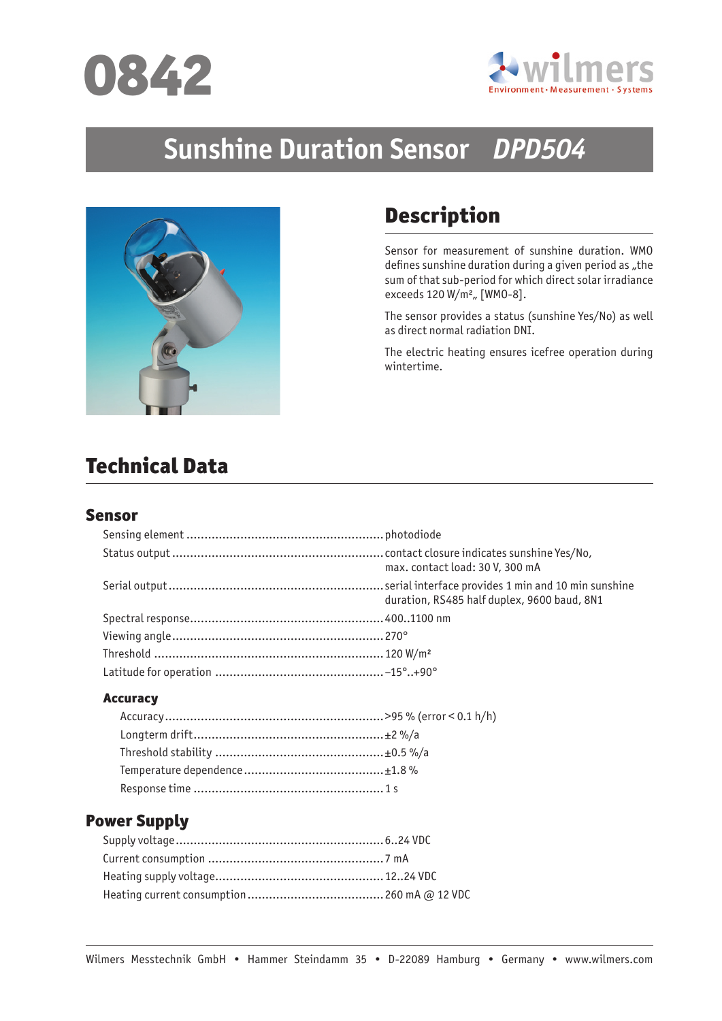



# **Sunshine Duration Sensor** *DPD504*



# Description

Sensor for measurement of sunshine duration. WMO defines sunshine duration during a given period as "the sum of that sub-period for which direct solar irradiance exceeds  $120 W/m^2$ , [WMO-8].

The sensor provides a status (sunshine Yes/No) as well as direct normal radiation DNI.

The electric heating ensures icefree operation during wintertime.

# Technical Data

#### Sensor

| max. contact load: 30 V, 300 mA             |
|---------------------------------------------|
| duration, RS485 half duplex, 9600 baud, 8N1 |
|                                             |
|                                             |
|                                             |
|                                             |

#### **Accuracy**

# Power Supply